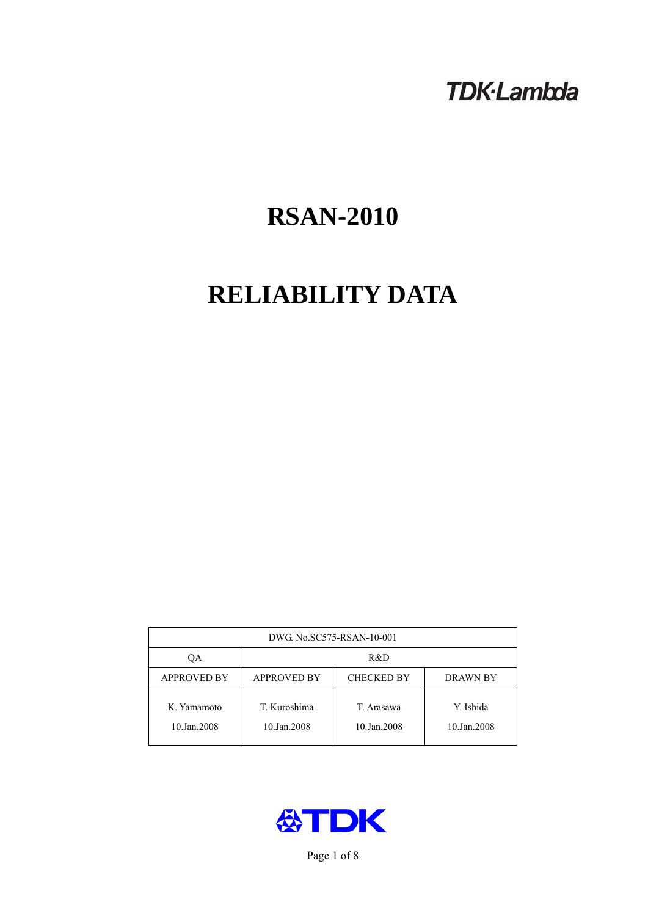# **TDK-Lambda**

# **RSAN-2010**

# **RELIABILITY DATA**

| DWG No.SC575-RSAN-10-001   |                                                            |                           |                          |  |  |
|----------------------------|------------------------------------------------------------|---------------------------|--------------------------|--|--|
| QA                         | R&D                                                        |                           |                          |  |  |
| <b>APPROVED BY</b>         | <b>APPROVED BY</b><br><b>CHECKED BY</b><br><b>DRAWN BY</b> |                           |                          |  |  |
| K. Yamamoto<br>10.Jan.2008 | T. Kuroshima<br>10.Jan.2008                                | T. Arasawa<br>10.Jan.2008 | Y. Ishida<br>10.Jan.2008 |  |  |



Page 1 of 8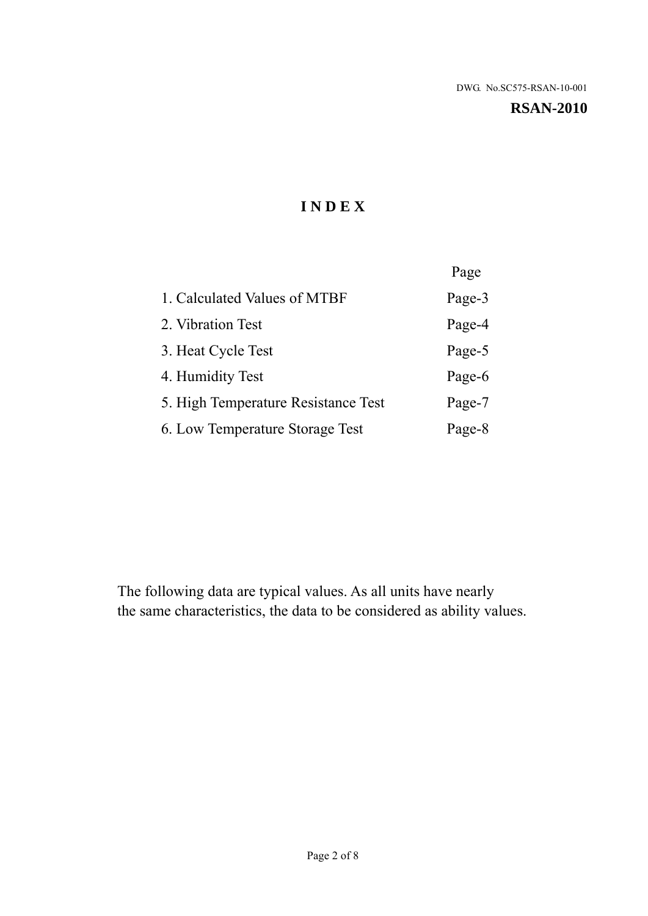**RSAN-2010** 

# **I N D E X**

|                                     | Page   |
|-------------------------------------|--------|
| 1. Calculated Values of MTBF        | Page-3 |
| 2. Vibration Test                   | Page-4 |
| 3. Heat Cycle Test                  | Page-5 |
| 4. Humidity Test                    | Page-6 |
| 5. High Temperature Resistance Test | Page-7 |
| 6. Low Temperature Storage Test     | Page-8 |

The following data are typical values. As all units have nearly the same characteristics, the data to be considered as ability values.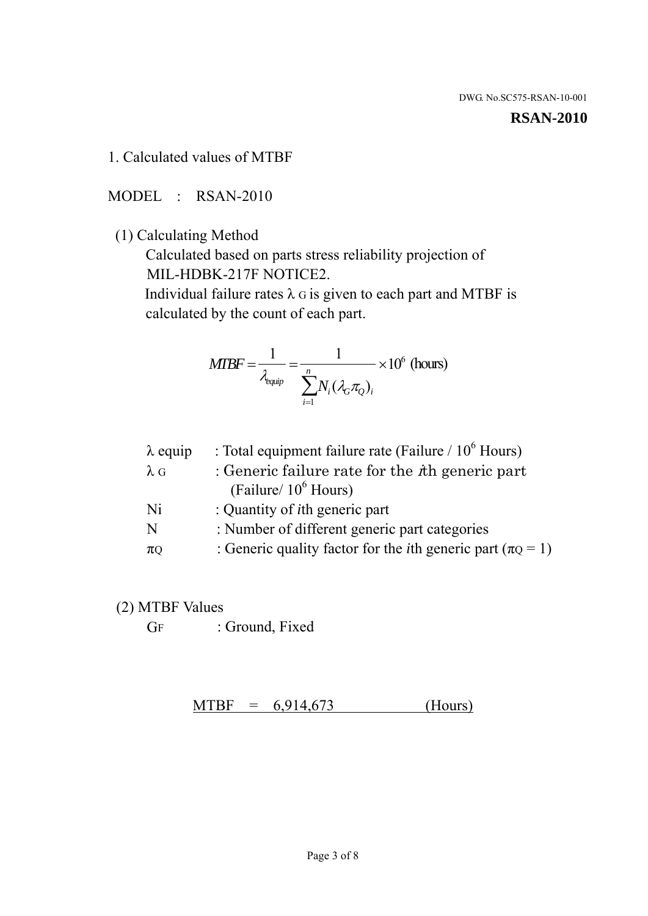#### **RSAN-2010**

1. Calculated values of MTBF

MODEL : RSAN-2010

(1) Calculating Method

 Calculated based on parts stress reliability projection of MIL-HDBK-217F NOTICE2.

Individual failure rates  $\lambda$  G is given to each part and MTBF is calculated by the count of each part.

$$
MTBF = \frac{1}{\lambda_{\text{equip}}} = \frac{1}{\sum_{i=1}^{n} N_i (\lambda_G \pi_Q)_i} \times 10^6 \text{ (hours)}
$$

| $\lambda$ equip | : Total equipment failure rate (Failure $/ 10^6$ Hours)                   |
|-----------------|---------------------------------------------------------------------------|
| $\lambda$ G     | : Generic failure rate for the $\hbar$ generic part                       |
|                 | (Failure/ $10^6$ Hours)                                                   |
| Ni              | : Quantity of <i>i</i> th generic part                                    |
| N               | : Number of different generic part categories                             |
| $\pi$ Q         | : Generic quality factor for the <i>i</i> th generic part ( $\pi Q = 1$ ) |

- (2) MTBF Values
	- GF : Ground, Fixed

 $MTBF = 6,914,673$  (Hours)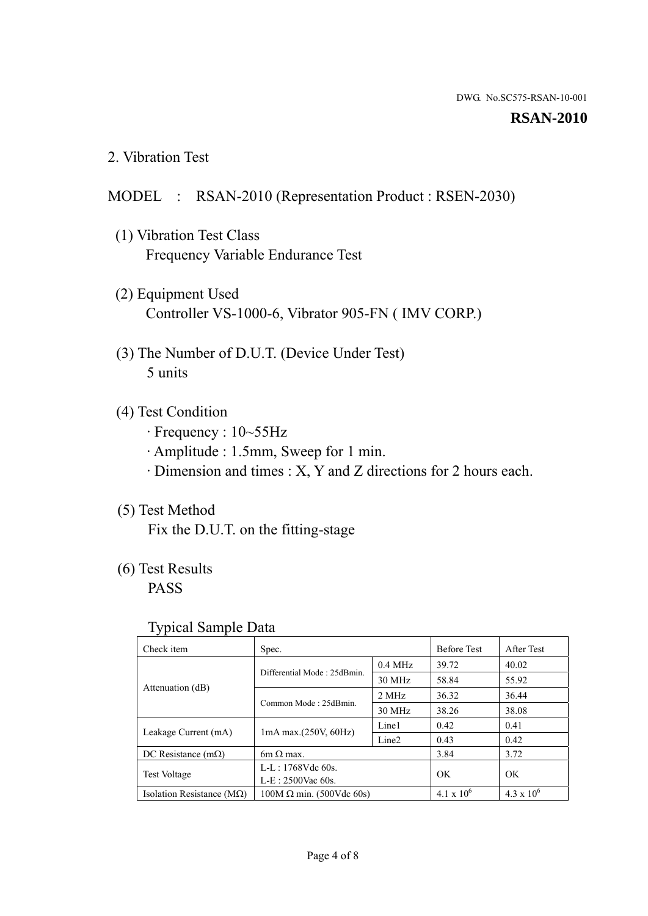#### **RSAN-2010**

2. Vibration Test

### MODEL : RSAN-2010 (Representation Product : RSEN-2030)

- (1) Vibration Test Class Frequency Variable Endurance Test
- (2) Equipment Used Controller VS-1000-6, Vibrator 905-FN ( IMV CORP.)
- (3) The Number of D.U.T. (Device Under Test) 5 units
- (4) Test Condition
	- · Frequency : 10~55Hz
	- · Amplitude : 1.5mm, Sweep for 1 min.
	- · Dimension and times : X, Y and Z directions for 2 hours each.

## (5) Test Method

Fix the D.U.T. on the fitting-stage

## (6) Test Results

PASS

#### Typical Sample Data

| ັ່                                 |                                                         |           |                     |                     |
|------------------------------------|---------------------------------------------------------|-----------|---------------------|---------------------|
| Check item                         | Spec.                                                   |           | <b>Before Test</b>  | After Test          |
|                                    | Differential Mode: 25dBmin.                             | $0.4$ MHz | 39.72               | 40.02               |
|                                    |                                                         | 30 MHz    | 58.84               | 55.92               |
| Attenuation (dB)                   | Common Mode: 25dBmin.                                   | 2 MHz     | 36.32               | 36.44               |
|                                    |                                                         | 30 MHz    | 38.26               | 38.08               |
| Leakage Current (mA)               | Line1<br>$1mA$ max. $(250V, 60Hz)$<br>Line <sub>2</sub> |           | 0.42                | 0.41                |
|                                    |                                                         | 0.43      | 0.42                |                     |
| DC Resistance $(m\Omega)$          | 6m $\Omega$ max.                                        |           | 3.84                | 3.72                |
| <b>Test Voltage</b>                | $L-L: 1768Vdc$ 60s.                                     |           | OK                  | OK.                 |
|                                    | $L-E: 2500$ Vac 60s.                                    |           |                     |                     |
| Isolation Resistance ( $M\Omega$ ) | $100M \Omega$ min. (500Vdc 60s)                         |           | $4.1 \times 10^{6}$ | $4.3 \times 10^{6}$ |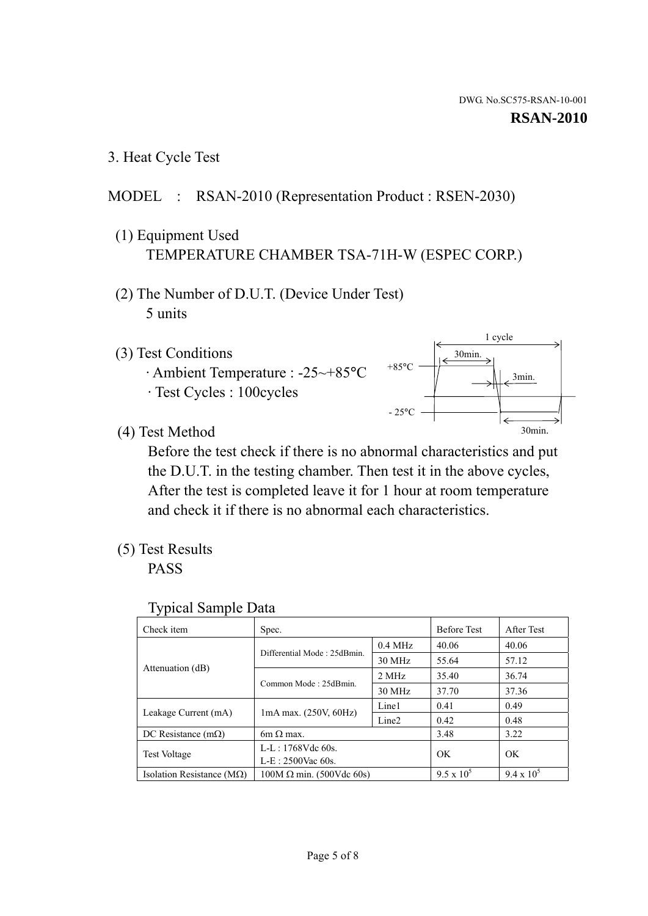1 cycle

30min.

3min.

30min.

3. Heat Cycle Test

### MODEL : RSAN-2010 (Representation Product : RSEN-2030)

- (1) Equipment Used TEMPERATURE CHAMBER TSA-71H-W (ESPEC CORP.)
- (2) The Number of D.U.T. (Device Under Test) 5 units
- (3) Test Conditions
	- · Ambient Temperature : -25~+85°C · Test Cycles : 100cycles
- (4) Test Method

 Before the test check if there is no abnormal characteristics and put the D.U.T. in the testing chamber. Then test it in the above cycles, After the test is completed leave it for 1 hour at room temperature and check it if there is no abnormal each characteristics.

 $+85$ °C

 $-25^{\circ}$ C

(5) Test Results

PASS

| <b>Typical Sample Data</b> |  |  |
|----------------------------|--|--|
|----------------------------|--|--|

| Check item                    | Spec.                           |                   | <b>Before Test</b> | After Test        |
|-------------------------------|---------------------------------|-------------------|--------------------|-------------------|
|                               | Differential Mode: 25dBmin.     | $0.4$ MHz         | 40.06              | 40.06             |
|                               |                                 | 30 MHz            | 55.64              | 57.12             |
| Attenuation (dB)              | Common Mode: 25dBmin.           | 2 MHz             | 35.40              | 36.74             |
|                               |                                 | 30 MHz            | 37.70              | 37.36             |
| Leakage Current (mA)          | $1mA$ max. $(250V, 60Hz)$       | Line1             | 0.41               | 0.49              |
|                               |                                 | Line <sub>2</sub> | 0.42               | 0.48              |
| DC Resistance $(m\Omega)$     | $6m \Omega$ max.                |                   | 3.48               | 3.22              |
| <b>Test Voltage</b>           | $L-L: 1768Vdc$ 60s.             |                   | OK                 | OK                |
|                               | L-E: 2500Vac 60s.               |                   |                    |                   |
| Isolation Resistance ( $MQ$ ) | $100M \Omega$ min. (500Vdc 60s) |                   | $9.5 \times 10^5$  | $9.4 \times 10^5$ |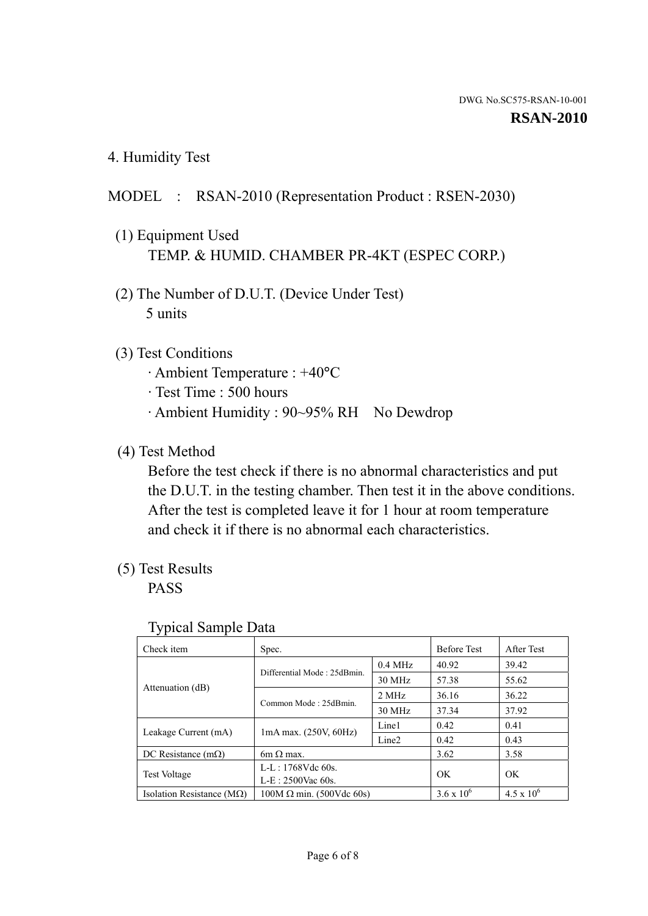4. Humidity Test

### MODEL : RSAN-2010 (Representation Product : RSEN-2030)

- (1) Equipment Used TEMP. & HUMID. CHAMBER PR-4KT (ESPEC CORP.)
- (2) The Number of D.U.T. (Device Under Test) 5 units

#### (3) Test Conditions

- · Ambient Temperature : +40°C
- · Test Time : 500 hours
- · Ambient Humidity : 90~95% RH No Dewdrop

### (4) Test Method

 Before the test check if there is no abnormal characteristics and put the D.U.T. in the testing chamber. Then test it in the above conditions. After the test is completed leave it for 1 hour at room temperature and check it if there is no abnormal each characteristics.

#### (5) Test Results

PASS

| . .                                |                                 |                   |                     |                     |
|------------------------------------|---------------------------------|-------------------|---------------------|---------------------|
| Check item                         | Spec.                           |                   | <b>Before Test</b>  | After Test          |
|                                    | Differential Mode: 25dBmin.     | $0.4$ MHz         | 40.92               | 39.42               |
|                                    |                                 | 30 MHz            | 57.38               | 55.62               |
| Attenuation (dB)                   | Common Mode: 25dBmin.           | 2 MHz             | 36.16               | 36.22               |
|                                    |                                 | 30 MHz            | 37.34               | 37.92               |
| Leakage Current (mA)               | $1mA$ max. $(250V, 60Hz)$       | Line1             | 0.42                | 0.41                |
|                                    |                                 | Line <sub>2</sub> | 0.42                | 0.43                |
| DC Resistance $(m\Omega)$          | $6m \Omega$ max.                |                   | 3.62                | 3.58                |
| <b>Test Voltage</b>                | $L-L: 1768Vdc$ 60s.             |                   | OK                  | OK                  |
|                                    | $L-E: 2500$ Vac 60s.            |                   |                     |                     |
| Isolation Resistance ( $M\Omega$ ) | $100M \Omega$ min. (500Vdc 60s) |                   | $3.6 \times 10^{6}$ | $4.5 \times 10^{6}$ |

#### Typical Sample Data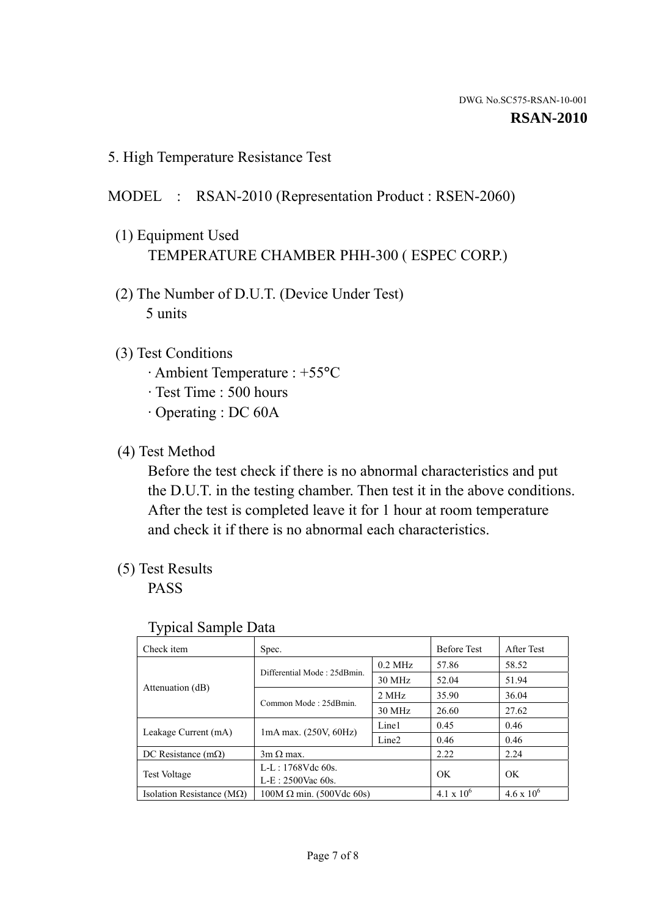5. High Temperature Resistance Test

#### MODEL : RSAN-2010 (Representation Product : RSEN-2060)

- (1) Equipment Used TEMPERATURE CHAMBER PHH-300 ( ESPEC CORP.)
- (2) The Number of D.U.T. (Device Under Test) 5 units
- (3) Test Conditions
	- · Ambient Temperature : +55°C
	- · Test Time : 500 hours
	- · Operating : DC 60A
- (4) Test Method

 Before the test check if there is no abnormal characteristics and put the D.U.T. in the testing chamber. Then test it in the above conditions. After the test is completed leave it for 1 hour at room temperature and check it if there is no abnormal each characteristics.

(5) Test Results

PASS

| ╯┸                                 |                                                         |           |                     |                     |
|------------------------------------|---------------------------------------------------------|-----------|---------------------|---------------------|
| Check item                         | Spec.                                                   |           | <b>Before Test</b>  | After Test          |
|                                    | Differential Mode: 25dBmin.                             | $0.2$ MHz | 57.86               | 58.52               |
|                                    |                                                         | 30 MHz    | 52.04               | 51.94               |
| Attenuation (dB)                   | Common Mode: 25dBmin.                                   | 2 MHz     | 35.90               | 36.04               |
|                                    |                                                         | 30 MHz    | 26.60               | 27.62               |
| Leakage Current (mA)               | Line1<br>$1mA$ max. $(250V, 60Hz)$<br>Line <sub>2</sub> |           | 0.45                | 0.46                |
|                                    |                                                         | 0.46      | 0.46                |                     |
| DC Resistance $(m\Omega)$          | $3m \Omega$ max.                                        |           | 2.22                | 2.24                |
| <b>Test Voltage</b>                | $L-L: 1768Vdc$ 60s.                                     |           | OK                  | OK                  |
|                                    | $L-E: 2500$ Vac 60s.                                    |           |                     |                     |
| Isolation Resistance ( $M\Omega$ ) | $100M \Omega$ min. (500Vdc 60s)                         |           | $4.1 \times 10^{6}$ | $4.6 \times 10^{6}$ |

#### Typical Sample Data